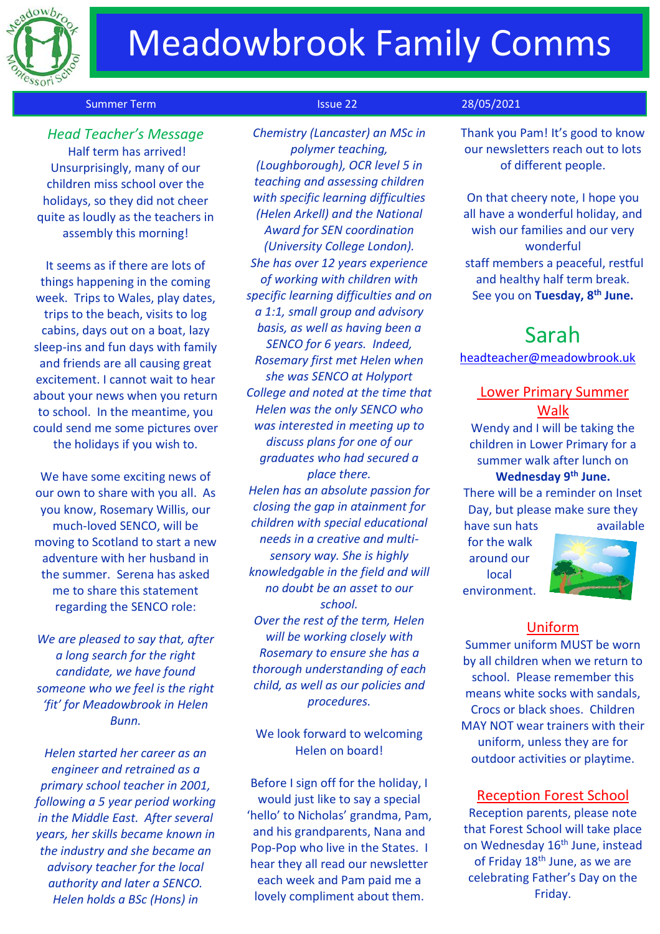

# **Meadowbrook Family Comms**

#### Summer Term **Issue 22** 28/05/2021

 *Head Teacher's Message* Half term has arrived! Unsurprisingly, many of our children miss school over the holidays, so they did not cheer quite as loudly as the teachers in assembly this morning!

It seems as if there are lots of things happening in the coming week. Trips to Wales, play dates, trips to the beach, visits to log cabins, days out on a boat, lazy sleep-ins and fun days with family and friends are all causing great excitement. I cannot wait to hear about your news when you return to school. In the meantime, you could send me some pictures over the holidays if you wish to.

We have some exciting news of our own to share with you all. As you know, Rosemary Willis, our much-loved SENCO, will be moving to Scotland to start a new adventure with her husband in the summer. Serena has asked me to share this statement regarding the SENCO role:

*We are pleased to say that, after a long search for the right candidate, we have found someone who we feel is the right 'fit' for Meadowbrook in Helen Bunn.* 

*Helen started her career as an engineer and retrained as a primary school teacher in 2001, following a 5 year period working in the Middle East. After several years, her skills became known in the industry and she became an advisory teacher for the local authority and later a SENCO. Helen holds a BSc (Hons) in* 

*Chemistry (Lancaster) an MSc in polymer teaching, (Loughborough), OCR level 5 in teaching and assessing children with specific learning difficulties (Helen Arkell) and the National Award for SEN coordination (University College London). She has over 12 years experience of working with children with specific learning difficulties and on a 1:1, small group and advisory basis, as well as having been a SENCO for 6 years. Indeed, Rosemary first met Helen when she was SENCO at Holyport College and noted at the time that Helen was the only SENCO who was interested in meeting up to discuss plans for one of our graduates who had secured a place there. Helen has an absolute passion for closing the gap in atainment for children with special educational needs in a creative and multisensory way. She is highly knowledgable in the field and will no doubt be an asset to our school. Over the rest of the term, Helen will be working closely with Rosemary to ensure she has a thorough understanding of each child, as well as our policies and procedures.* 

We look forward to welcoming Helen on board!

Before I sign off for the holiday, I would just like to say a special 'hello' to Nicholas' grandma, Pam, and his grandparents, Nana and Pop-Pop who live in the States. I hear they all read our newsletter each week and Pam paid me a lovely compliment about them.

Thank you Pam! It's good to know our newsletters reach out to lots of different people.

On that cheery note, I hope you all have a wonderful holiday, and wish our families and our very wonderful staff members a peaceful, restful and healthy half term break. See you on **Tuesday, 8th June.**

## Sarah

[headteacher@meadowbrook.uk](mailto:headteacher@meadowbrook.uk)

## Lower Primary Summer Walk

Wendy and I will be taking the children in Lower Primary for a summer walk after lunch on

## **Wednesday 9th June.**

There will be a reminder on Inset Day, but please make sure they have sun hats available

for the walk around our local environment.



### Uniform

Summer uniform MUST be worn by all children when we return to school. Please remember this means white socks with sandals, Crocs or black shoes. Children MAY NOT wear trainers with their uniform, unless they are for outdoor activities or playtime.

#### Reception Forest School

Reception parents, please note that Forest School will take place on Wednesday 16<sup>th</sup> June, instead of Friday 18<sup>th</sup> June, as we are celebrating Father's Day on the Friday.